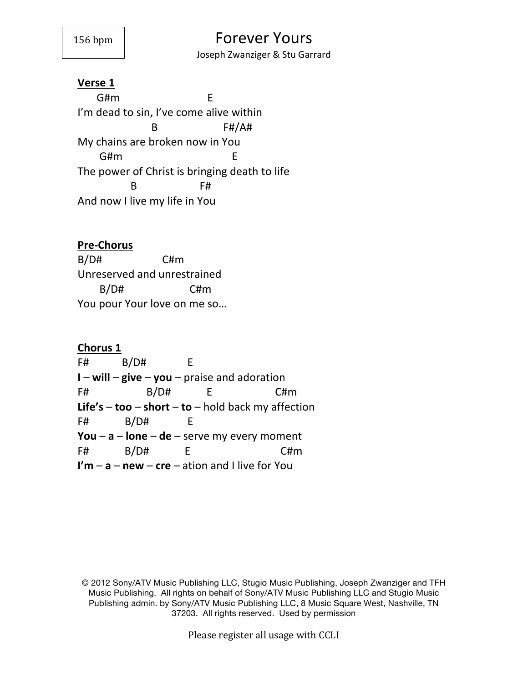Joseph Zwanziger & Stu Garrard

#### **Verse 1**

G#m E I'm dead to sin, I've come alive within  $B$  F#/A# My chains are broken now in You G#m E The power of Christ is bringing death to life  $B$  F# And now I live my life in You

# **Pre-Chorus**

 $B/DH$  C#m Unreserved and unrestrained  $B/DH$  C#m You pour Your love on me so...

**Chorus 1**  $F#$   $B/D#$   $E$ **I** – **will** – **give** – **you** – praise and adoration F# B/D# E C#m **Life's** – **too** – **short** – **to** – hold back my affection  $F#$   $B/D#$   $E$ **You** –  $a$  –  $lon$  –  $de$  – serve my every moment F# B/D# E C#m **I'm** – **a** – **new** – **cre** – ation and I live for You

Please register all usage with CCLI

<sup>© 2012</sup> Sony/ATV Music Publishing LLC, Stugio Music Publishing, Joseph Zwanziger and TFH Music Publishing. All rights on behalf of Sony/ATV Music Publishing LLC and Stugio Music Publishing admin. by Sony/ATV Music Publishing LLC, 8 Music Square West, Nashville, TN 37203. All rights reserved. Used by permission